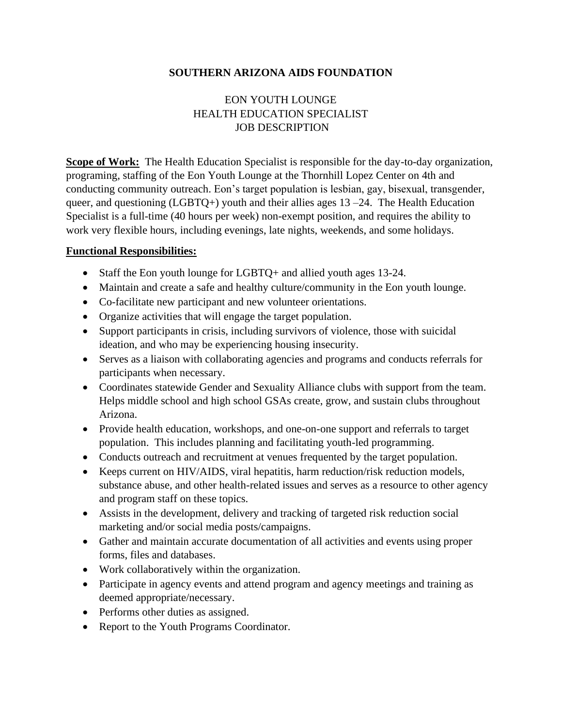#### **SOUTHERN ARIZONA AIDS FOUNDATION**

# EON YOUTH LOUNGE HEALTH EDUCATION SPECIALIST JOB DESCRIPTION

**Scope of Work:** The Health Education Specialist is responsible for the day-to-day organization, programing, staffing of the Eon Youth Lounge at the Thornhill Lopez Center on 4th and conducting community outreach. Eon's target population is lesbian, gay, bisexual, transgender, queer, and questioning (LGBTQ+) youth and their allies ages  $13 - 24$ . The Health Education Specialist is a full-time (40 hours per week) non-exempt position, and requires the ability to work very flexible hours, including evenings, late nights, weekends, and some holidays.

#### **Functional Responsibilities:**

- Staff the Eon youth lounge for LGBTQ+ and allied youth ages 13-24.
- Maintain and create a safe and healthy culture/community in the Eon youth lounge.
- Co-facilitate new participant and new volunteer orientations.
- Organize activities that will engage the target population.
- Support participants in crisis, including survivors of violence, those with suicidal ideation, and who may be experiencing housing insecurity.
- Serves as a liaison with collaborating agencies and programs and conducts referrals for participants when necessary.
- Coordinates statewide Gender and Sexuality Alliance clubs with support from the team. Helps middle school and high school GSAs create, grow, and sustain clubs throughout Arizona.
- Provide health education, workshops, and one-on-one support and referrals to target population. This includes planning and facilitating youth-led programming.
- Conducts outreach and recruitment at venues frequented by the target population.
- Keeps current on HIV/AIDS, viral hepatitis, harm reduction/risk reduction models, substance abuse, and other health-related issues and serves as a resource to other agency and program staff on these topics.
- Assists in the development, delivery and tracking of targeted risk reduction social marketing and/or social media posts/campaigns.
- Gather and maintain accurate documentation of all activities and events using proper forms, files and databases.
- Work collaboratively within the organization.
- Participate in agency events and attend program and agency meetings and training as deemed appropriate/necessary.
- Performs other duties as assigned.
- Report to the Youth Programs Coordinator.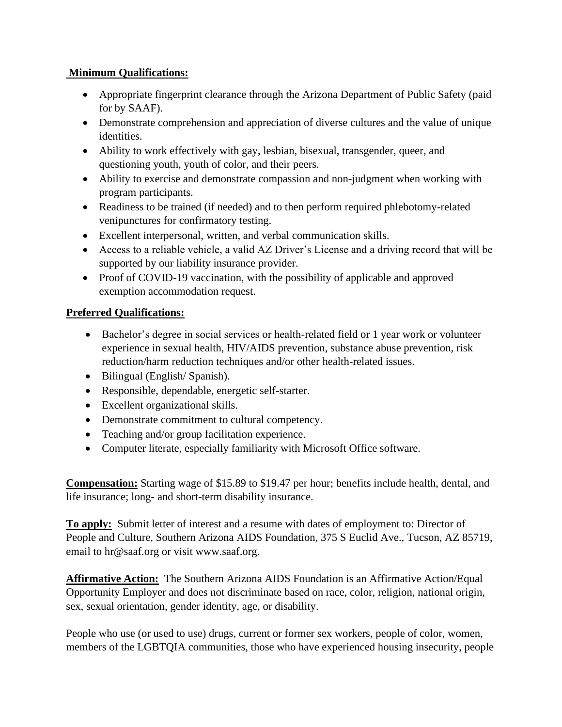### **Minimum Qualifications:**

- Appropriate fingerprint clearance through the Arizona Department of Public Safety (paid for by SAAF).
- Demonstrate comprehension and appreciation of diverse cultures and the value of unique identities.
- Ability to work effectively with gay, lesbian, bisexual, transgender, queer, and questioning youth, youth of color, and their peers.
- Ability to exercise and demonstrate compassion and non-judgment when working with program participants.
- Readiness to be trained (if needed) and to then perform required phlebotomy-related venipunctures for confirmatory testing.
- Excellent interpersonal, written, and verbal communication skills.
- Access to a reliable vehicle, a valid AZ Driver's License and a driving record that will be supported by our liability insurance provider.
- Proof of COVID-19 vaccination, with the possibility of applicable and approved exemption accommodation request.

# **Preferred Qualifications:**

- Bachelor's degree in social services or health-related field or 1 year work or volunteer experience in sexual health, HIV/AIDS prevention, substance abuse prevention, risk reduction/harm reduction techniques and/or other health-related issues.
- Bilingual (English/Spanish).
- Responsible, dependable, energetic self-starter.
- Excellent organizational skills.
- Demonstrate commitment to cultural competency.
- Teaching and/or group facilitation experience.
- Computer literate, especially familiarity with Microsoft Office software.

**Compensation:** Starting wage of \$15.89 to \$19.47 per hour; benefits include health, dental, and life insurance; long- and short-term disability insurance.

**To apply:** Submit letter of interest and a resume with dates of employment to: Director of People and Culture, Southern Arizona AIDS Foundation, 375 S Euclid Ave., Tucson, AZ 85719, email to hr@saaf.org or visit www.saaf.org.

**Affirmative Action:** The Southern Arizona AIDS Foundation is an Affirmative Action/Equal Opportunity Employer and does not discriminate based on race, color, religion, national origin, sex, sexual orientation, gender identity, age, or disability.

People who use (or used to use) drugs, current or former sex workers, people of color, women, members of the LGBTQIA communities, those who have experienced housing insecurity, people